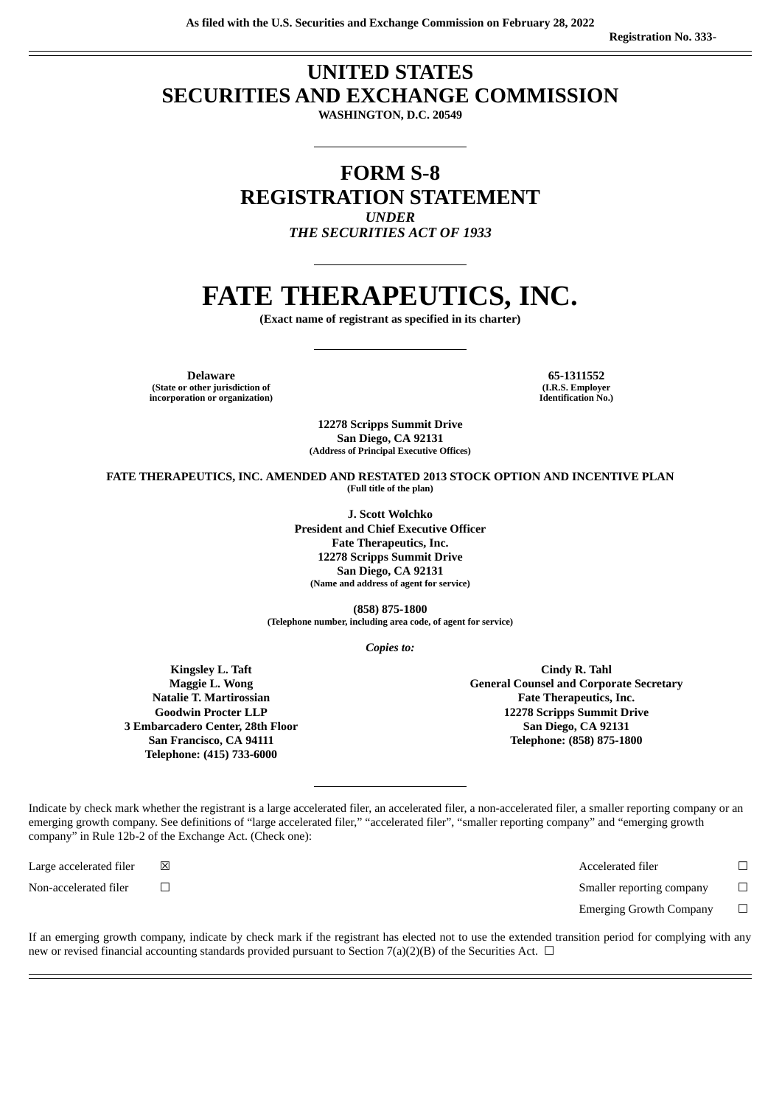# **UNITED STATES SECURITIES AND EXCHANGE COMMISSION**

**WASHINGTON, D.C. 20549**

## **FORM S-8 REGISTRATION STATEMENT** *UNDER*

*THE SECURITIES ACT OF 1933*

# **FATE THERAPEUTICS, INC.**

**(Exact name of registrant as specified in its charter)**

**Delaware 65-1311552**

**(State or other jurisdiction of incorporation or organization)**

**(I.R.S. Employer Identification No.)**

**12278 Scripps Summit Drive San Diego, CA 92131 (Address of Principal Executive Offices)**

**FATE THERAPEUTICS, INC. AMENDED AND RESTATED 2013 STOCK OPTION AND INCENTIVE PLAN (Full title of the plan)**

> **J. Scott Wolchko President and Chief Executive Officer Fate Therapeutics, Inc. 12278 Scripps Summit Drive San Diego, CA 92131 (Name and address of agent for service)**

**(858) 875-1800 (Telephone number, including area code, of agent for service)**

*Copies to:*

**Kingsley L. Taft Maggie L. Wong Natalie T. Martirossian Goodwin Procter LLP 3 Embarcadero Center, 28th Floor San Francisco, CA 94111 Telephone: (415) 733-6000**

**Cindy R. Tahl General Counsel and Corporate Secretary Fate Therapeutics, Inc. 12278 Scripps Summit Drive San Diego, CA 92131 Telephone: (858) 875-1800**

Indicate by check mark whether the registrant is a large accelerated filer, an accelerated filer, a non-accelerated filer, a smaller reporting company or an emerging growth company. See definitions of "large accelerated filer," "accelerated filer", "smaller reporting company" and "emerging growth company" in Rule 12b-2 of the Exchange Act. (Check one):

Large accelerated filer  $□$   $□$   $□$ 

Non-accelerated filer ☐ Smaller reporting company ☐

Emerging Growth Company □

If an emerging growth company, indicate by check mark if the registrant has elected not to use the extended transition period for complying with any new or revised financial accounting standards provided pursuant to Section 7(a)(2)(B) of the Securities Act.  $\Box$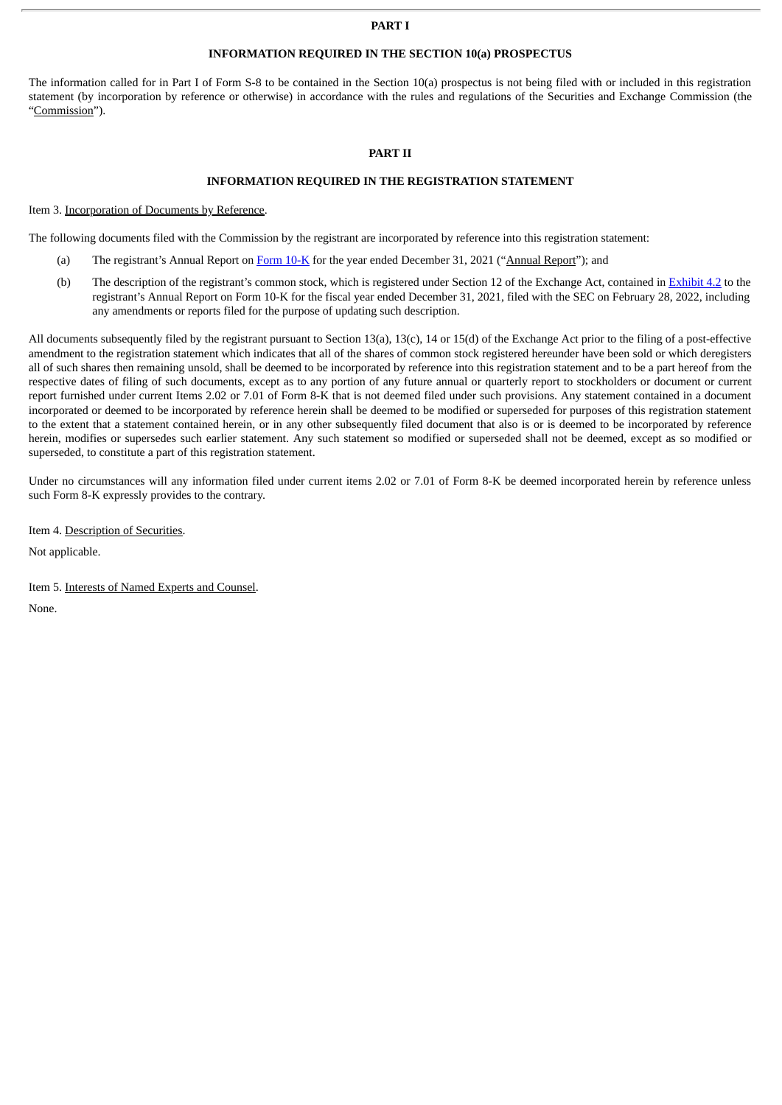### **PART I**

## **INFORMATION REQUIRED IN THE SECTION 10(a) PROSPECTUS**

The information called for in Part I of Form S-8 to be contained in the Section 10(a) prospectus is not being filed with or included in this registration statement (by incorporation by reference or otherwise) in accordance with the rules and regulations of the Securities and Exchange Commission (the "Commission").

## **PART II**

## **INFORMATION REQUIRED IN THE REGISTRATION STATEMENT**

Item 3. Incorporation of Documents by Reference.

The following documents filed with the Commission by the registrant are incorporated by reference into this registration statement:

- (a) The registrant's Annual Report on [Form](http://www.sec.gov/ix?doc=/Archives/edgar/data/1434316/000095017022002293/fate-20211231.htm) 10-K for the year ended December 31, 2021 ("Annual Report"); and
- (b) The description of the registrant's common stock, which is registered under Section 12 of the Exchange Act, contained in [Exhibit](http://www.sec.gov/Archives/edgar/data/1434316/000156459021008086/fate-ex45_659.htm) 4.2 to the registrant's Annual Report on Form 10-K for the fiscal year ended December 31, 2021, filed with the SEC on February 28, 2022, including any amendments or reports filed for the purpose of updating such description.

All documents subsequently filed by the registrant pursuant to Section 13(a), 13(c), 14 or 15(d) of the Exchange Act prior to the filing of a post-effective amendment to the registration statement which indicates that all of the shares of common stock registered hereunder have been sold or which deregisters all of such shares then remaining unsold, shall be deemed to be incorporated by reference into this registration statement and to be a part hereof from the respective dates of filing of such documents, except as to any portion of any future annual or quarterly report to stockholders or document or current report furnished under current Items 2.02 or 7.01 of Form 8-K that is not deemed filed under such provisions. Any statement contained in a document incorporated or deemed to be incorporated by reference herein shall be deemed to be modified or superseded for purposes of this registration statement to the extent that a statement contained herein, or in any other subsequently filed document that also is or is deemed to be incorporated by reference herein, modifies or supersedes such earlier statement. Any such statement so modified or superseded shall not be deemed, except as so modified or superseded, to constitute a part of this registration statement.

Under no circumstances will any information filed under current items 2.02 or 7.01 of Form 8-K be deemed incorporated herein by reference unless such Form 8-K expressly provides to the contrary.

Item 4. Description of Securities.

Not applicable.

Item 5. Interests of Named Experts and Counsel.

None.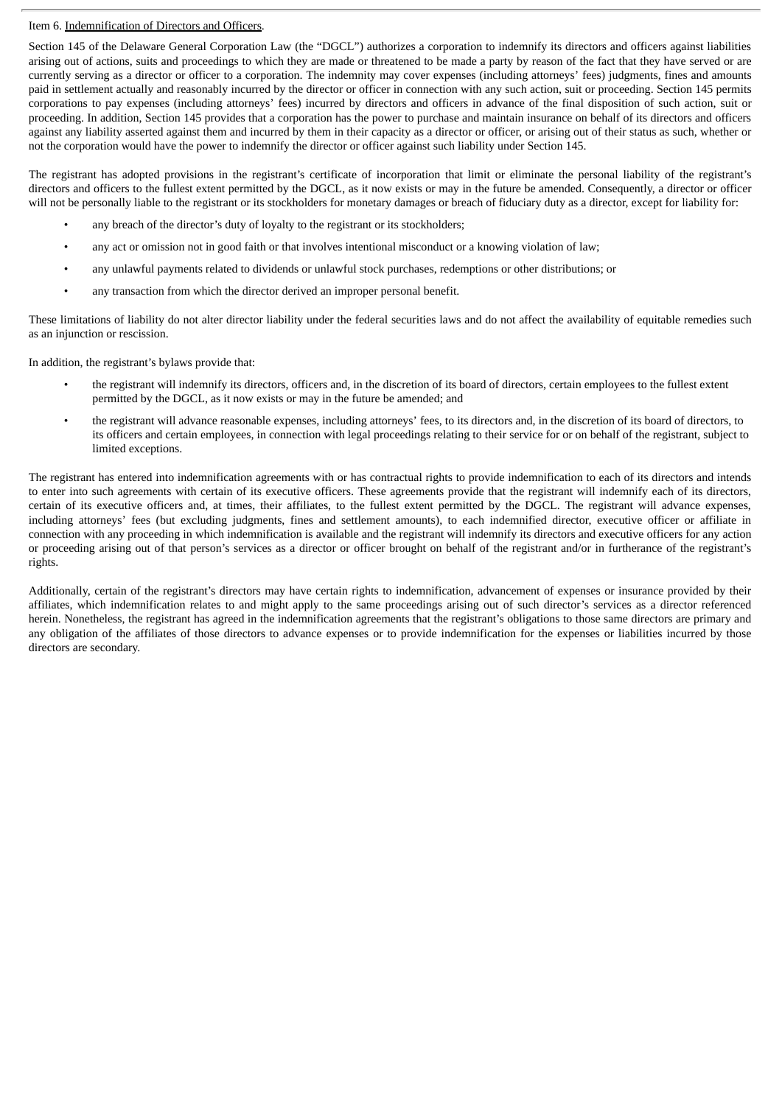## Item 6. Indemnification of Directors and Officers.

Section 145 of the Delaware General Corporation Law (the "DGCL") authorizes a corporation to indemnify its directors and officers against liabilities arising out of actions, suits and proceedings to which they are made or threatened to be made a party by reason of the fact that they have served or are currently serving as a director or officer to a corporation. The indemnity may cover expenses (including attorneys' fees) judgments, fines and amounts paid in settlement actually and reasonably incurred by the director or officer in connection with any such action, suit or proceeding. Section 145 permits corporations to pay expenses (including attorneys' fees) incurred by directors and officers in advance of the final disposition of such action, suit or proceeding. In addition, Section 145 provides that a corporation has the power to purchase and maintain insurance on behalf of its directors and officers against any liability asserted against them and incurred by them in their capacity as a director or officer, or arising out of their status as such, whether or not the corporation would have the power to indemnify the director or officer against such liability under Section 145.

The registrant has adopted provisions in the registrant's certificate of incorporation that limit or eliminate the personal liability of the registrant's directors and officers to the fullest extent permitted by the DGCL, as it now exists or may in the future be amended. Consequently, a director or officer will not be personally liable to the registrant or its stockholders for monetary damages or breach of fiduciary duty as a director, except for liability for:

- any breach of the director's duty of loyalty to the registrant or its stockholders;
- any act or omission not in good faith or that involves intentional misconduct or a knowing violation of law;
- any unlawful payments related to dividends or unlawful stock purchases, redemptions or other distributions; or
- any transaction from which the director derived an improper personal benefit.

These limitations of liability do not alter director liability under the federal securities laws and do not affect the availability of equitable remedies such as an injunction or rescission.

In addition, the registrant's bylaws provide that:

- the registrant will indemnify its directors, officers and, in the discretion of its board of directors, certain employees to the fullest extent permitted by the DGCL, as it now exists or may in the future be amended; and
- the registrant will advance reasonable expenses, including attorneys' fees, to its directors and, in the discretion of its board of directors, to its officers and certain employees, in connection with legal proceedings relating to their service for or on behalf of the registrant, subject to limited exceptions.

The registrant has entered into indemnification agreements with or has contractual rights to provide indemnification to each of its directors and intends to enter into such agreements with certain of its executive officers. These agreements provide that the registrant will indemnify each of its directors, certain of its executive officers and, at times, their affiliates, to the fullest extent permitted by the DGCL. The registrant will advance expenses, including attorneys' fees (but excluding judgments, fines and settlement amounts), to each indemnified director, executive officer or affiliate in connection with any proceeding in which indemnification is available and the registrant will indemnify its directors and executive officers for any action or proceeding arising out of that person's services as a director or officer brought on behalf of the registrant and/or in furtherance of the registrant's rights.

Additionally, certain of the registrant's directors may have certain rights to indemnification, advancement of expenses or insurance provided by their affiliates, which indemnification relates to and might apply to the same proceedings arising out of such director's services as a director referenced herein. Nonetheless, the registrant has agreed in the indemnification agreements that the registrant's obligations to those same directors are primary and any obligation of the affiliates of those directors to advance expenses or to provide indemnification for the expenses or liabilities incurred by those directors are secondary.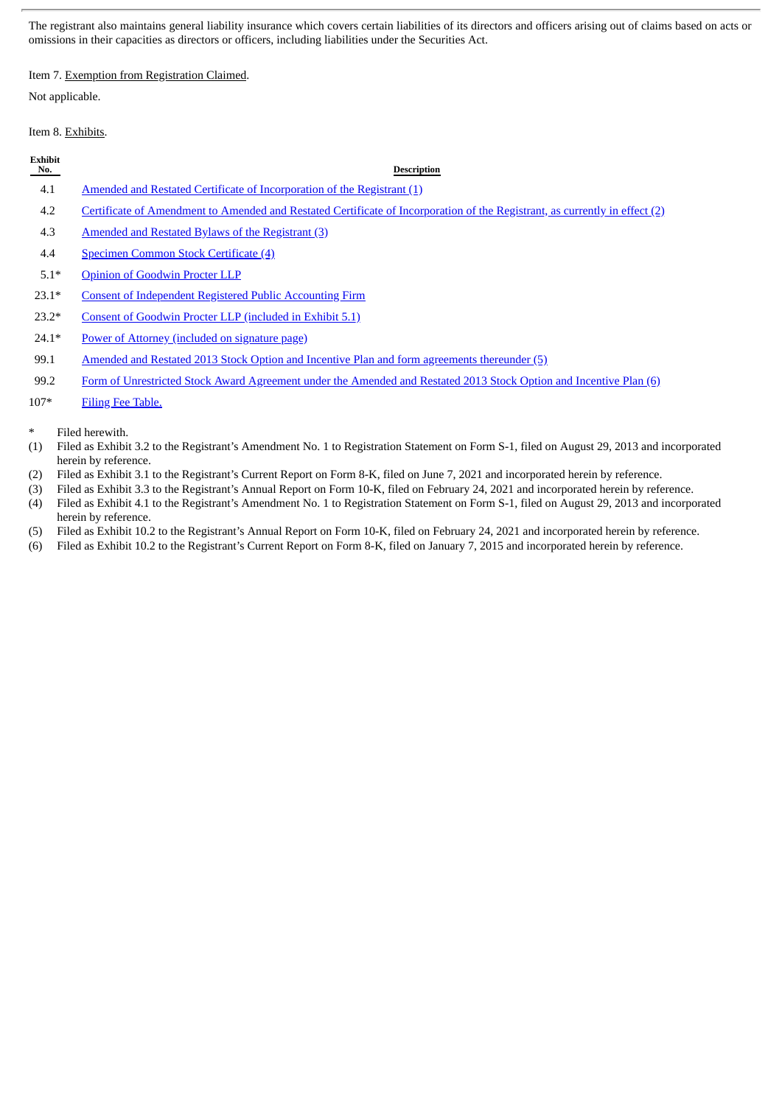The registrant also maintains general liability insurance which covers certain liabilities of its directors and officers arising out of claims based on acts or omissions in their capacities as directors or officers, including liabilities under the Securities Act.

## Item 7. Exemption from Registration Claimed.

Not applicable.

## Item 8. Exhibits.

| Exhibit<br>No. | <b>Description</b>                                                                                                                                                                                                                                                                                                                                                                                  |
|----------------|-----------------------------------------------------------------------------------------------------------------------------------------------------------------------------------------------------------------------------------------------------------------------------------------------------------------------------------------------------------------------------------------------------|
| 4.1            | Amended and Restated Certificate of Incorporation of the Registrant (1)                                                                                                                                                                                                                                                                                                                             |
| 4.2            | Certificate of Amendment to Amended and Restated Certificate of Incorporation of the Registrant, as currently in effect (2)                                                                                                                                                                                                                                                                         |
| 4.3            | Amended and Restated Bylaws of the Registrant (3)                                                                                                                                                                                                                                                                                                                                                   |
| 4.4            | Specimen Common Stock Certificate (4)                                                                                                                                                                                                                                                                                                                                                               |
| $5.1*$         | <b>Opinion of Goodwin Procter LLP</b>                                                                                                                                                                                                                                                                                                                                                               |
| $23.1*$        | <b>Consent of Independent Registered Public Accounting Firm</b>                                                                                                                                                                                                                                                                                                                                     |
| $23.2*$        | Consent of Goodwin Procter LLP (included in Exhibit 5.1)                                                                                                                                                                                                                                                                                                                                            |
| $24.1*$        | Power of Attorney (included on signature page)                                                                                                                                                                                                                                                                                                                                                      |
| 99.1           | Amended and Restated 2013 Stock Option and Incentive Plan and form agreements thereunder (5)                                                                                                                                                                                                                                                                                                        |
| $\sim$ $\sim$  | $\overline{a}$ , and $\overline{a}$ , and $\overline{a}$ , and $\overline{a}$ , and $\overline{a}$ , and $\overline{a}$ , and $\overline{a}$ , and $\overline{a}$<br>in the contract of the contract of the contract of the contract of the contract of the contract of the contract of the contract of the contract of the contract of the contract of the contract of the contract of the contrac |

99.2 Form of [Unrestricted](http://www.sec.gov/Archives/edgar/data/1434316/000110465915000991/a15-1355_1ex10d2.htm) Stock Award Agreement under the Amended and Restated 2013 Stock Option and Incentive Plan (6)

- 107\* Filing Fee [Table.](#page-9-0)
- Filed herewith.
- (1) Filed as Exhibit 3.2 to the Registrant's Amendment No. 1 to Registration Statement on Form S-1, filed on August 29, 2013 and incorporated herein by reference.
- (2) Filed as Exhibit 3.1 to the Registrant's Current Report on Form 8-K, filed on June 7, 2021 and incorporated herein by reference.
- (3) Filed as Exhibit 3.3 to the Registrant's Annual Report on Form 10-K, filed on February 24, 2021 and incorporated herein by reference. (4) Filed as Exhibit 4.1 to the Registrant's Amendment No. 1 to Registration Statement on Form S-1, filed on August 29, 2013 and incorporated herein by reference.
- (5) Filed as Exhibit 10.2 to the Registrant's Annual Report on Form 10-K, filed on February 24, 2021 and incorporated herein by reference.
- (6) Filed as Exhibit 10.2 to the Registrant's Current Report on Form 8-K, filed on January 7, 2015 and incorporated herein by reference.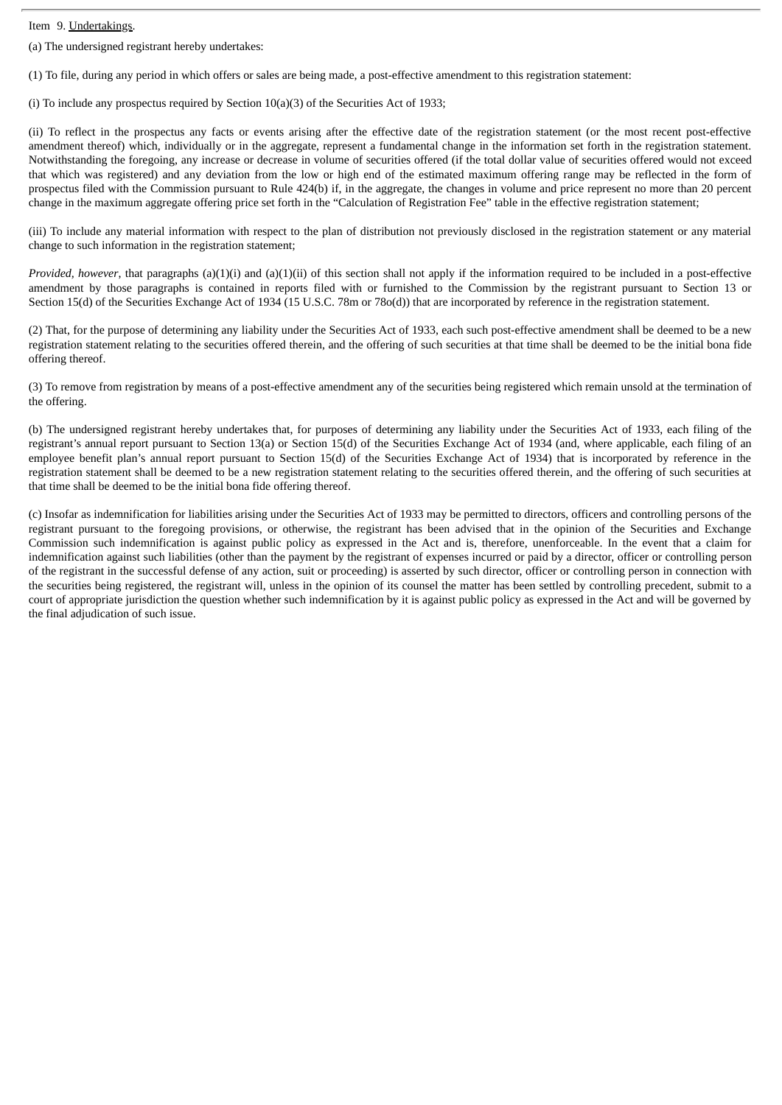Item 9. Undertakings.

(a) The undersigned registrant hereby undertakes:

(1) To file, during any period in which offers or sales are being made, a post-effective amendment to this registration statement:

(i) To include any prospectus required by Section 10(a)(3) of the Securities Act of 1933;

(ii) To reflect in the prospectus any facts or events arising after the effective date of the registration statement (or the most recent post-effective amendment thereof) which, individually or in the aggregate, represent a fundamental change in the information set forth in the registration statement. Notwithstanding the foregoing, any increase or decrease in volume of securities offered (if the total dollar value of securities offered would not exceed that which was registered) and any deviation from the low or high end of the estimated maximum offering range may be reflected in the form of prospectus filed with the Commission pursuant to Rule 424(b) if, in the aggregate, the changes in volume and price represent no more than 20 percent change in the maximum aggregate offering price set forth in the "Calculation of Registration Fee" table in the effective registration statement;

(iii) To include any material information with respect to the plan of distribution not previously disclosed in the registration statement or any material change to such information in the registration statement;

*Provided, however*, that paragraphs (a)(1)(i) and (a)(1)(ii) of this section shall not apply if the information required to be included in a post-effective amendment by those paragraphs is contained in reports filed with or furnished to the Commission by the registrant pursuant to Section 13 or Section 15(d) of the Securities Exchange Act of 1934 (15 U.S.C. 78m or 78o(d)) that are incorporated by reference in the registration statement.

(2) That, for the purpose of determining any liability under the Securities Act of 1933, each such post-effective amendment shall be deemed to be a new registration statement relating to the securities offered therein, and the offering of such securities at that time shall be deemed to be the initial bona fide offering thereof.

(3) To remove from registration by means of a post-effective amendment any of the securities being registered which remain unsold at the termination of the offering.

(b) The undersigned registrant hereby undertakes that, for purposes of determining any liability under the Securities Act of 1933, each filing of the registrant's annual report pursuant to Section 13(a) or Section 15(d) of the Securities Exchange Act of 1934 (and, where applicable, each filing of an employee benefit plan's annual report pursuant to Section 15(d) of the Securities Exchange Act of 1934) that is incorporated by reference in the registration statement shall be deemed to be a new registration statement relating to the securities offered therein, and the offering of such securities at that time shall be deemed to be the initial bona fide offering thereof.

(c) Insofar as indemnification for liabilities arising under the Securities Act of 1933 may be permitted to directors, officers and controlling persons of the registrant pursuant to the foregoing provisions, or otherwise, the registrant has been advised that in the opinion of the Securities and Exchange Commission such indemnification is against public policy as expressed in the Act and is, therefore, unenforceable. In the event that a claim for indemnification against such liabilities (other than the payment by the registrant of expenses incurred or paid by a director, officer or controlling person of the registrant in the successful defense of any action, suit or proceeding) is asserted by such director, officer or controlling person in connection with the securities being registered, the registrant will, unless in the opinion of its counsel the matter has been settled by controlling precedent, submit to a court of appropriate jurisdiction the question whether such indemnification by it is against public policy as expressed in the Act and will be governed by the final adjudication of such issue.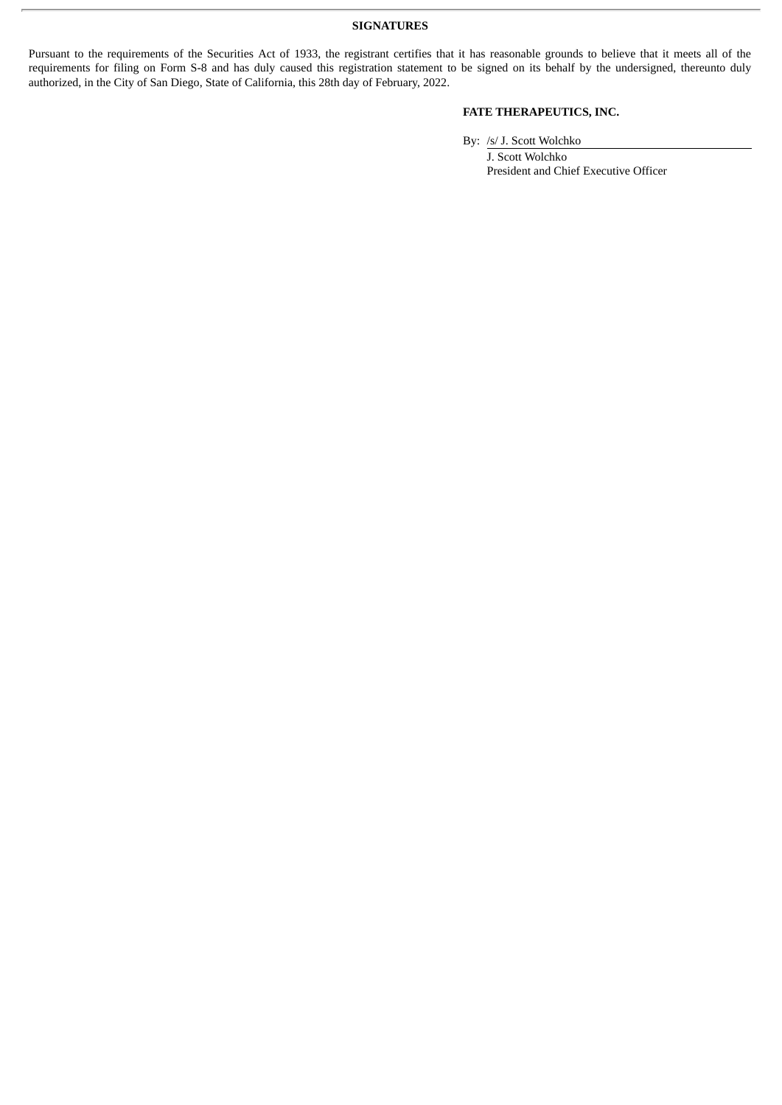Pursuant to the requirements of the Securities Act of 1933, the registrant certifies that it has reasonable grounds to believe that it meets all of the requirements for filing on Form S-8 and has duly caused this registration statement to be signed on its behalf by the undersigned, thereunto duly authorized, in the City of San Diego, State of California, this 28th day of February, 2022.

## **FATE THERAPEUTICS, INC.**

By: /s/ J. Scott Wolchko

J. Scott Wolchko President and Chief Executive Officer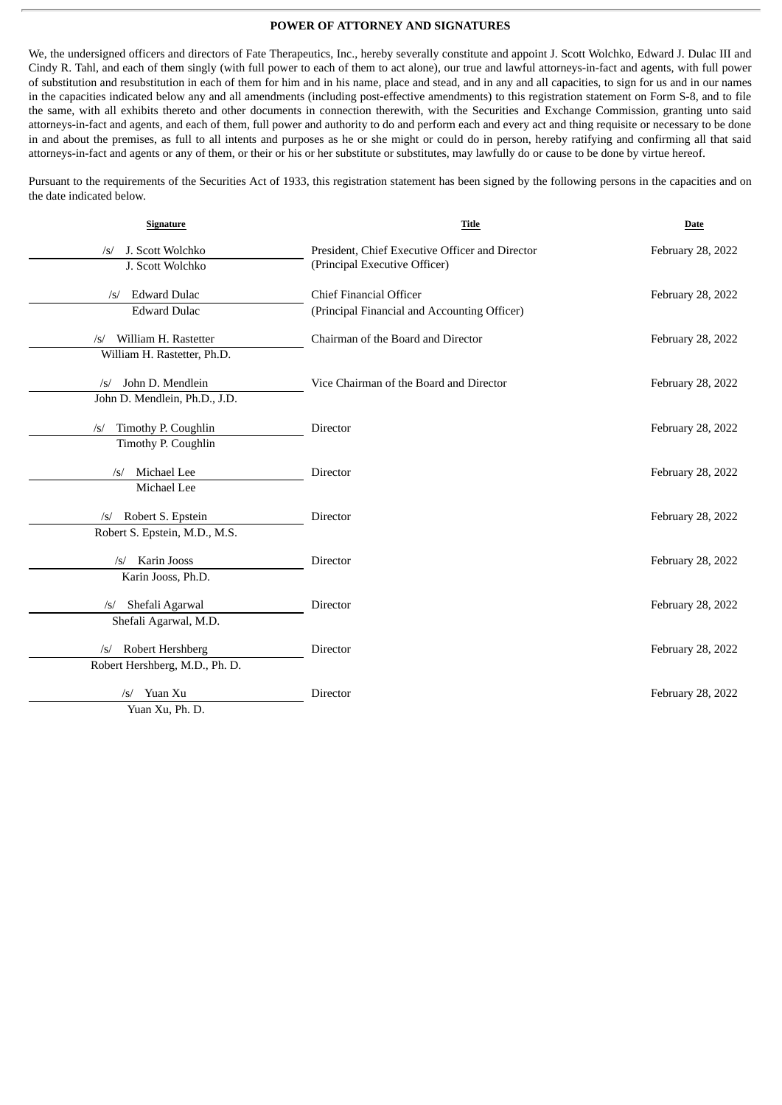## **POWER OF ATTORNEY AND SIGNATURES**

<span id="page-6-0"></span>We, the undersigned officers and directors of Fate Therapeutics, Inc., hereby severally constitute and appoint J. Scott Wolchko, Edward J. Dulac III and Cindy R. Tahl, and each of them singly (with full power to each of them to act alone), our true and lawful attorneys-in-fact and agents, with full power of substitution and resubstitution in each of them for him and in his name, place and stead, and in any and all capacities, to sign for us and in our names in the capacities indicated below any and all amendments (including post-effective amendments) to this registration statement on Form S-8, and to file the same, with all exhibits thereto and other documents in connection therewith, with the Securities and Exchange Commission, granting unto said attorneys-in-fact and agents, and each of them, full power and authority to do and perform each and every act and thing requisite or necessary to be done in and about the premises, as full to all intents and purposes as he or she might or could do in person, hereby ratifying and confirming all that said attorneys-in-fact and agents or any of them, or their or his or her substitute or substitutes, may lawfully do or cause to be done by virtue hereof.

Pursuant to the requirements of the Securities Act of 1933, this registration statement has been signed by the following persons in the capacities and on the date indicated below.

| Signature                          | Title                                           | Date              |
|------------------------------------|-------------------------------------------------|-------------------|
| J. Scott Wolchko<br>$\sqrt{s}$     | President, Chief Executive Officer and Director | February 28, 2022 |
| J. Scott Wolchko                   | (Principal Executive Officer)                   |                   |
| <b>Edward Dulac</b><br>$\sqrt{s}$  | <b>Chief Financial Officer</b>                  | February 28, 2022 |
| <b>Edward Dulac</b>                | (Principal Financial and Accounting Officer)    |                   |
| William H. Rastetter<br>$\sqrt{s}$ | Chairman of the Board and Director              | February 28, 2022 |
| William H. Rastetter, Ph.D.        |                                                 |                   |
| John D. Mendlein<br>$\sqrt{s}$     | Vice Chairman of the Board and Director         | February 28, 2022 |
| John D. Mendlein, Ph.D., J.D.      |                                                 |                   |
| Timothy P. Coughlin<br>$\sqrt{s}$  | Director                                        | February 28, 2022 |
| Timothy P. Coughlin                |                                                 |                   |
| Michael Lee<br>/s/                 | Director                                        | February 28, 2022 |
| Michael Lee                        |                                                 |                   |
| /s/ Robert S. Epstein              | Director                                        | February 28, 2022 |
| Robert S. Epstein, M.D., M.S.      |                                                 |                   |
| Karin Jooss<br>$\sqrt{s}$          | <b>Director</b>                                 | February 28, 2022 |
| Karin Jooss, Ph.D.                 |                                                 |                   |
| Shefali Agarwal<br>$\sqrt{s}$      | Director                                        | February 28, 2022 |
| Shefali Agarwal, M.D.              |                                                 |                   |
| Robert Hershberg<br>$\sqrt{s}$     | Director                                        | February 28, 2022 |
| Robert Hershberg, M.D., Ph. D.     |                                                 |                   |
| Yuan Xu<br>$\sqrt{s}$              | Director                                        | February 28, 2022 |
| Yuan Xu, Ph. D.                    |                                                 |                   |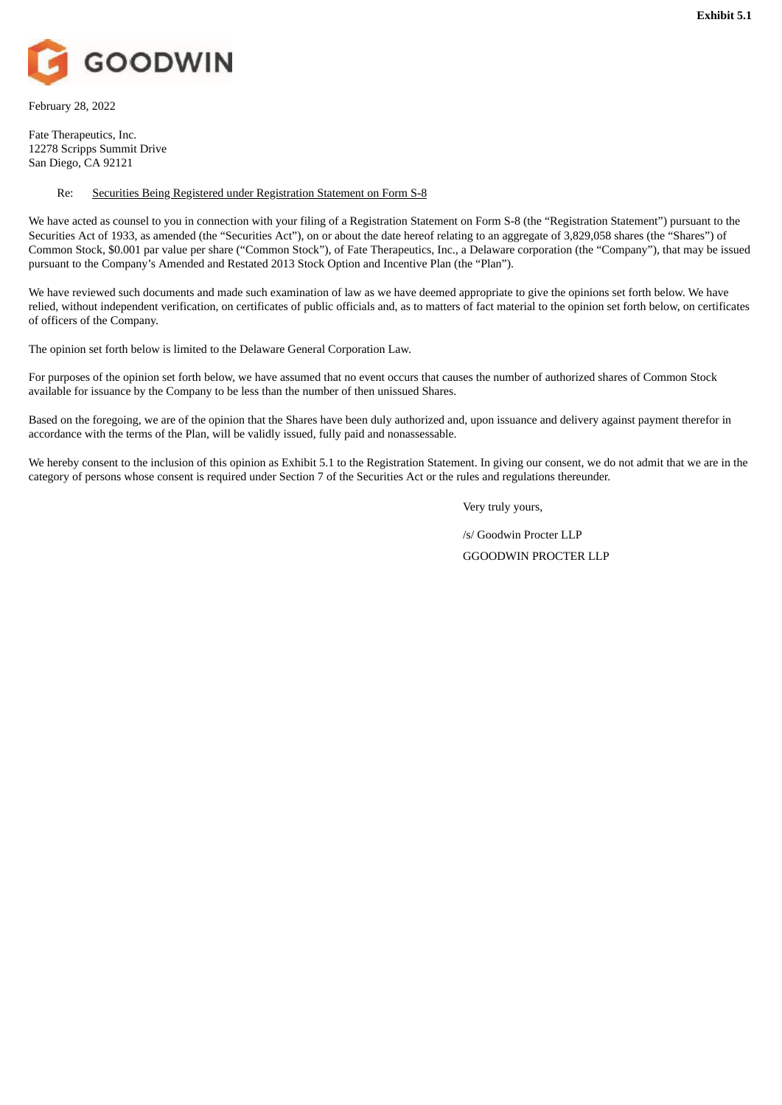<span id="page-7-0"></span>

February 28, 2022

Fate Therapeutics, Inc. 12278 Scripps Summit Drive San Diego, CA 92121

## Re: Securities Being Registered under Registration Statement on Form S-8

We have acted as counsel to you in connection with your filing of a Registration Statement on Form S-8 (the "Registration Statement") pursuant to the Securities Act of 1933, as amended (the "Securities Act"), on or about the date hereof relating to an aggregate of 3,829,058 shares (the "Shares") of Common Stock, \$0.001 par value per share ("Common Stock"), of Fate Therapeutics, Inc., a Delaware corporation (the "Company"), that may be issued pursuant to the Company's Amended and Restated 2013 Stock Option and Incentive Plan (the "Plan").

We have reviewed such documents and made such examination of law as we have deemed appropriate to give the opinions set forth below. We have relied, without independent verification, on certificates of public officials and, as to matters of fact material to the opinion set forth below, on certificates of officers of the Company.

The opinion set forth below is limited to the Delaware General Corporation Law.

For purposes of the opinion set forth below, we have assumed that no event occurs that causes the number of authorized shares of Common Stock available for issuance by the Company to be less than the number of then unissued Shares.

Based on the foregoing, we are of the opinion that the Shares have been duly authorized and, upon issuance and delivery against payment therefor in accordance with the terms of the Plan, will be validly issued, fully paid and nonassessable.

We hereby consent to the inclusion of this opinion as Exhibit 5.1 to the Registration Statement. In giving our consent, we do not admit that we are in the category of persons whose consent is required under Section 7 of the Securities Act or the rules and regulations thereunder.

Very truly yours,

/s/ Goodwin Procter LLP GGOODWIN PROCTER LLP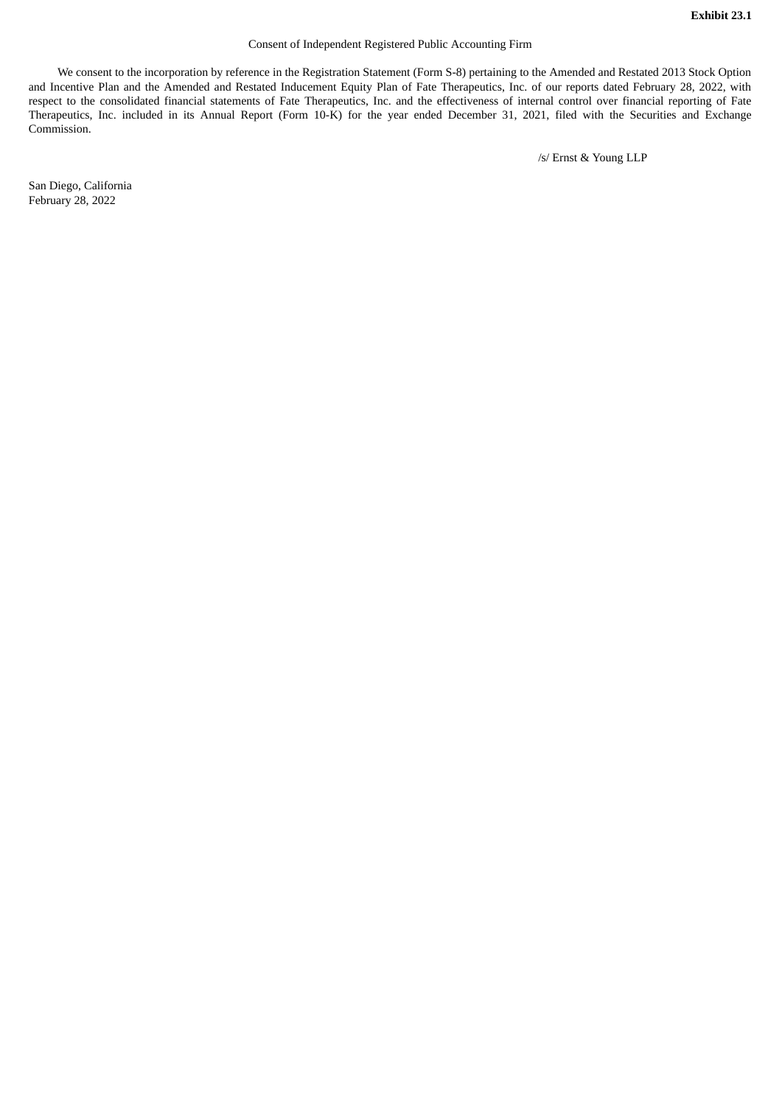### Consent of Independent Registered Public Accounting Firm

<span id="page-8-0"></span>We consent to the incorporation by reference in the Registration Statement (Form S-8) pertaining to the Amended and Restated 2013 Stock Option and Incentive Plan and the Amended and Restated Inducement Equity Plan of Fate Therapeutics, Inc. of our reports dated February 28, 2022, with respect to the consolidated financial statements of Fate Therapeutics, Inc. and the effectiveness of internal control over financial reporting of Fate Therapeutics, Inc. included in its Annual Report (Form 10-K) for the year ended December 31, 2021, filed with the Securities and Exchange Commission.

/s/ Ernst & Young LLP

San Diego, California February 28, 2022